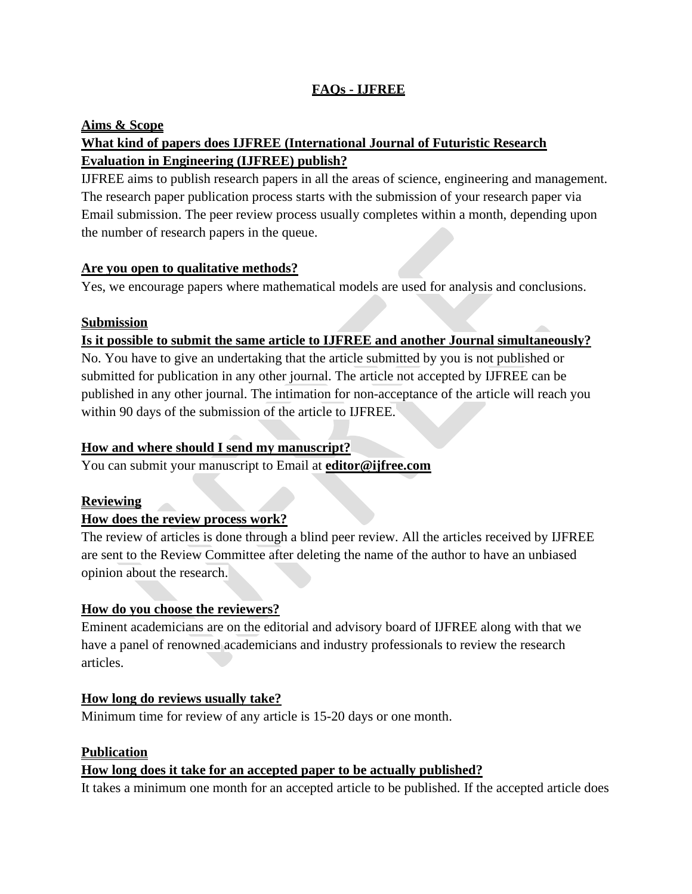# **FAQs - IJFREE**

#### **Aims & Scope**

# **What kind of papers does IJFREE (International Journal of Futuristic Research Evaluation in Engineering (IJFREE) publish?**

IJFREE aims to publish research papers in all the areas of science, engineering and management. The research paper publication process starts with the submission of your research paper via Email submission. The peer review process usually completes within a month, depending upon the number of research papers in the queue.

#### **Are you open to qualitative methods?**

Yes, we encourage papers where mathematical models are used for analysis and conclusions.

#### **Submission**

# **Is it possible to submit the same article to IJFREE and another Journal simultaneously?**

No. You have to give an undertaking that the article submitted by you is not published or submitted for publication in any other journal. The article not accepted by IJFREE can be published in any other journal. The intimation for non-acceptance of the article will reach you within 90 days of the submission of the article to IJFREE.

# **How and where should I send my manuscript?**

You can submit your manuscript to Email at **[editor@ijfree.com](mailto:editor@ijfree.com)**

# **Reviewing**

# **How does the review process work?**

The review of articles is done through a blind peer review. All the articles received by IJFREE are sent to the Review Committee after deleting the name of the author to have an unbiased opinion about the research.

# **How do you choose the reviewers?**

Eminent academicians are on the editorial and advisory board of IJFREE along with that we have a panel of renowned academicians and industry professionals to review the research articles.

# **How long do reviews usually take?**

Minimum time for review of any article is 15-20 days or one month.

#### **Publication**

# **How long does it take for an accepted paper to be actually published?**

It takes a minimum one month for an accepted article to be published. If the accepted article does